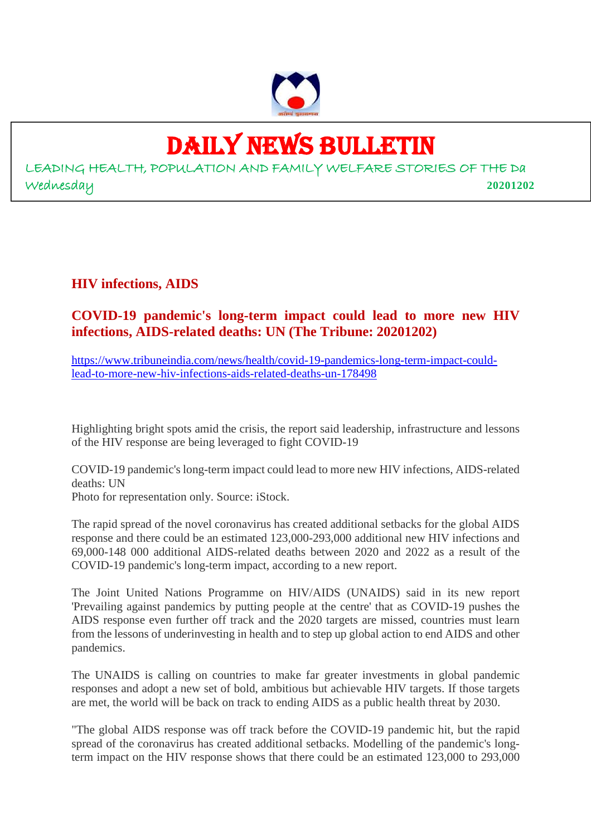

# DAILY NEWS BULLETIN

LEADING HEALTH, POPULATION AND FAMILY WELFARE STORIES OF THE Da Wednesday **20201202**

**HIV infections, AIDS**

### **COVID-19 pandemic's long-term impact could lead to more new HIV infections, AIDS-related deaths: UN (The Tribune: 20201202)**

https://www.tribuneindia.com/news/health/covid-19-pandemics-long-term-impact-couldlead-to-more-new-hiv-infections-aids-related-deaths-un-178498

Highlighting bright spots amid the crisis, the report said leadership, infrastructure and lessons of the HIV response are being leveraged to fight COVID-19

COVID-19 pandemic's long-term impact could lead to more new HIV infections, AIDS-related deaths: UN Photo for representation only. Source: iStock.

The rapid spread of the novel coronavirus has created additional setbacks for the global AIDS response and there could be an estimated 123,000-293,000 additional new HIV infections and 69,000-148 000 additional AIDS-related deaths between 2020 and 2022 as a result of the COVID-19 pandemic's long-term impact, according to a new report.

The Joint United Nations Programme on HIV/AIDS (UNAIDS) said in its new report 'Prevailing against pandemics by putting people at the centre' that as COVID-19 pushes the AIDS response even further off track and the 2020 targets are missed, countries must learn from the lessons of underinvesting in health and to step up global action to end AIDS and other pandemics.

The UNAIDS is calling on countries to make far greater investments in global pandemic responses and adopt a new set of bold, ambitious but achievable HIV targets. If those targets are met, the world will be back on track to ending AIDS as a public health threat by 2030.

"The global AIDS response was off track before the COVID-19 pandemic hit, but the rapid spread of the coronavirus has created additional setbacks. Modelling of the pandemic's longterm impact on the HIV response shows that there could be an estimated 123,000 to 293,000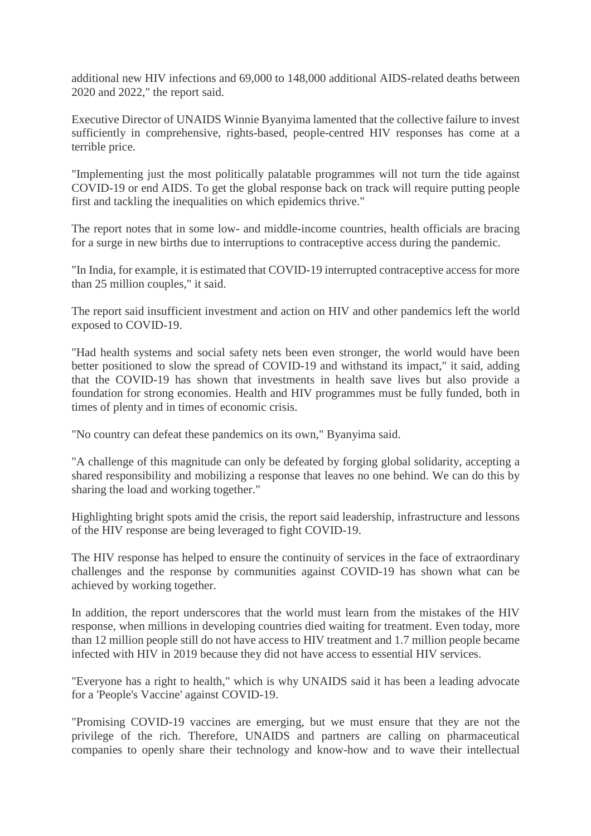additional new HIV infections and 69,000 to 148,000 additional AIDS-related deaths between 2020 and 2022," the report said.

Executive Director of UNAIDS Winnie Byanyima lamented that the collective failure to invest sufficiently in comprehensive, rights-based, people-centred HIV responses has come at a terrible price.

"Implementing just the most politically palatable programmes will not turn the tide against COVID-19 or end AIDS. To get the global response back on track will require putting people first and tackling the inequalities on which epidemics thrive."

The report notes that in some low- and middle-income countries, health officials are bracing for a surge in new births due to interruptions to contraceptive access during the pandemic.

"In India, for example, it is estimated that COVID-19 interrupted contraceptive access for more than 25 million couples," it said.

The report said insufficient investment and action on HIV and other pandemics left the world exposed to COVID-19.

"Had health systems and social safety nets been even stronger, the world would have been better positioned to slow the spread of COVID-19 and withstand its impact," it said, adding that the COVID-19 has shown that investments in health save lives but also provide a foundation for strong economies. Health and HIV programmes must be fully funded, both in times of plenty and in times of economic crisis.

"No country can defeat these pandemics on its own," Byanyima said.

"A challenge of this magnitude can only be defeated by forging global solidarity, accepting a shared responsibility and mobilizing a response that leaves no one behind. We can do this by sharing the load and working together."

Highlighting bright spots amid the crisis, the report said leadership, infrastructure and lessons of the HIV response are being leveraged to fight COVID-19.

The HIV response has helped to ensure the continuity of services in the face of extraordinary challenges and the response by communities against COVID-19 has shown what can be achieved by working together.

In addition, the report underscores that the world must learn from the mistakes of the HIV response, when millions in developing countries died waiting for treatment. Even today, more than 12 million people still do not have access to HIV treatment and 1.7 million people became infected with HIV in 2019 because they did not have access to essential HIV services.

"Everyone has a right to health," which is why UNAIDS said it has been a leading advocate for a 'People's Vaccine' against COVID-19.

"Promising COVID-19 vaccines are emerging, but we must ensure that they are not the privilege of the rich. Therefore, UNAIDS and partners are calling on pharmaceutical companies to openly share their technology and know-how and to wave their intellectual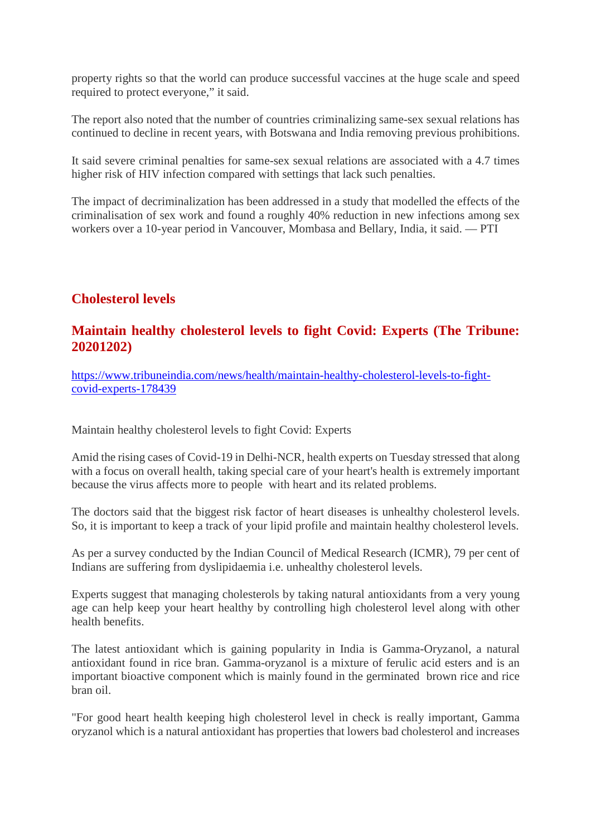property rights so that the world can produce successful vaccines at the huge scale and speed required to protect everyone," it said.

The report also noted that the number of countries criminalizing same-sex sexual relations has continued to decline in recent years, with Botswana and India removing previous prohibitions.

It said severe criminal penalties for same-sex sexual relations are associated with a 4.7 times higher risk of HIV infection compared with settings that lack such penalties.

The impact of decriminalization has been addressed in a study that modelled the effects of the criminalisation of sex work and found a roughly 40% reduction in new infections among sex workers over a 10-year period in Vancouver, Mombasa and Bellary, India, it said. — PTI

#### **Cholesterol levels**

#### **Maintain healthy cholesterol levels to fight Covid: Experts (The Tribune: 20201202)**

https://www.tribuneindia.com/news/health/maintain-healthy-cholesterol-levels-to-fightcovid-experts-178439

Maintain healthy cholesterol levels to fight Covid: Experts

Amid the rising cases of Covid-19 in Delhi-NCR, health experts on Tuesday stressed that along with a focus on overall health, taking special care of your heart's health is extremely important because the virus affects more to people with heart and its related problems.

The doctors said that the biggest risk factor of heart diseases is unhealthy cholesterol levels. So, it is important to keep a track of your lipid profile and maintain healthy cholesterol levels.

As per a survey conducted by the Indian Council of Medical Research (ICMR), 79 per cent of Indians are suffering from dyslipidaemia i.e. unhealthy cholesterol levels.

Experts suggest that managing cholesterols by taking natural antioxidants from a very young age can help keep your heart healthy by controlling high cholesterol level along with other health benefits.

The latest antioxidant which is gaining popularity in India is Gamma-Oryzanol, a natural antioxidant found in rice bran. Gamma-oryzanol is a mixture of ferulic acid esters and is an important bioactive component which is mainly found in the germinated brown rice and rice bran oil.

"For good heart health keeping high cholesterol level in check is really important, Gamma oryzanol which is a natural antioxidant has properties that lowers bad cholesterol and increases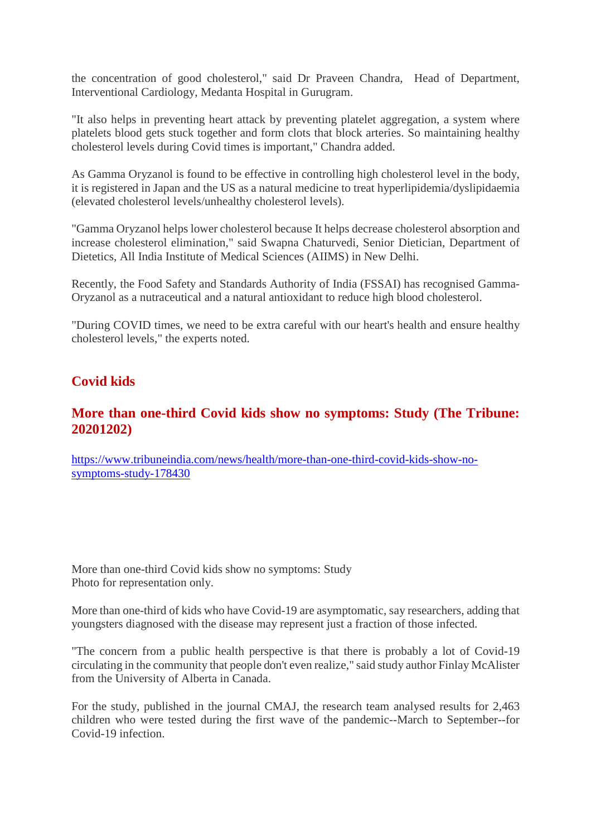the concentration of good cholesterol," said Dr Praveen Chandra, Head of Department, Interventional Cardiology, Medanta Hospital in Gurugram.

"It also helps in preventing heart attack by preventing platelet aggregation, a system where platelets blood gets stuck together and form clots that block arteries. So maintaining healthy cholesterol levels during Covid times is important," Chandra added.

As Gamma Oryzanol is found to be effective in controlling high cholesterol level in the body, it is registered in Japan and the US as a natural medicine to treat hyperlipidemia/dyslipidaemia (elevated cholesterol levels/unhealthy cholesterol levels).

"Gamma Oryzanol helps lower cholesterol because It helps decrease cholesterol absorption and increase cholesterol elimination," said Swapna Chaturvedi, Senior Dietician, Department of Dietetics, All India Institute of Medical Sciences (AIIMS) in New Delhi.

Recently, the Food Safety and Standards Authority of India (FSSAI) has recognised Gamma-Oryzanol as a nutraceutical and a natural antioxidant to reduce high blood cholesterol.

"During COVID times, we need to be extra careful with our heart's health and ensure healthy cholesterol levels," the experts noted.

### **Covid kids**

#### **More than one-third Covid kids show no symptoms: Study (The Tribune: 20201202)**

https://www.tribuneindia.com/news/health/more-than-one-third-covid-kids-show-nosymptoms-study-178430

More than one-third Covid kids show no symptoms: Study Photo for representation only.

More than one-third of kids who have Covid-19 are asymptomatic, say researchers, adding that youngsters diagnosed with the disease may represent just a fraction of those infected.

"The concern from a public health perspective is that there is probably a lot of Covid-19 circulating in the community that people don't even realize," said study author Finlay McAlister from the University of Alberta in Canada.

For the study, published in the journal CMAJ, the research team analysed results for 2,463 children who were tested during the first wave of the pandemic--March to September--for Covid-19 infection.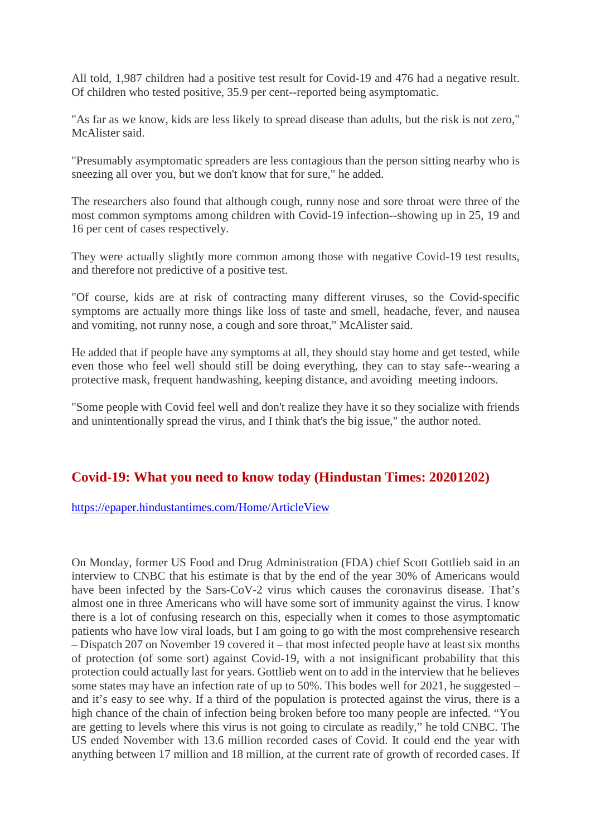All told, 1,987 children had a positive test result for Covid-19 and 476 had a negative result. Of children who tested positive, 35.9 per cent--reported being asymptomatic.

"As far as we know, kids are less likely to spread disease than adults, but the risk is not zero," McAlister said.

"Presumably asymptomatic spreaders are less contagious than the person sitting nearby who is sneezing all over you, but we don't know that for sure," he added.

The researchers also found that although cough, runny nose and sore throat were three of the most common symptoms among children with Covid-19 infection--showing up in 25, 19 and 16 per cent of cases respectively.

They were actually slightly more common among those with negative Covid-19 test results, and therefore not predictive of a positive test.

"Of course, kids are at risk of contracting many different viruses, so the Covid-specific symptoms are actually more things like loss of taste and smell, headache, fever, and nausea and vomiting, not runny nose, a cough and sore throat," McAlister said.

He added that if people have any symptoms at all, they should stay home and get tested, while even those who feel well should still be doing everything, they can to stay safe--wearing a protective mask, frequent handwashing, keeping distance, and avoiding meeting indoors.

"Some people with Covid feel well and don't realize they have it so they socialize with friends and unintentionally spread the virus, and I think that's the big issue," the author noted.

#### **Covid-19: What you need to know today (Hindustan Times: 20201202)**

#### https://epaper.hindustantimes.com/Home/ArticleView

On Monday, former US Food and Drug Administration (FDA) chief Scott Gottlieb said in an interview to CNBC that his estimate is that by the end of the year 30% of Americans would have been infected by the Sars-CoV-2 virus which causes the coronavirus disease. That's almost one in three Americans who will have some sort of immunity against the virus. I know there is a lot of confusing research on this, especially when it comes to those asymptomatic patients who have low viral loads, but I am going to go with the most comprehensive research – Dispatch 207 on November 19 covered it – that most infected people have at least six months of protection (of some sort) against Covid-19, with a not insignificant probability that this protection could actually last for years. Gottlieb went on to add in the interview that he believes some states may have an infection rate of up to 50%. This bodes well for 2021, he suggested – and it's easy to see why. If a third of the population is protected against the virus, there is a high chance of the chain of infection being broken before too many people are infected. "You are getting to levels where this virus is not going to circulate as readily," he told CNBC. The US ended November with 13.6 million recorded cases of Covid. It could end the year with anything between 17 million and 18 million, at the current rate of growth of recorded cases. If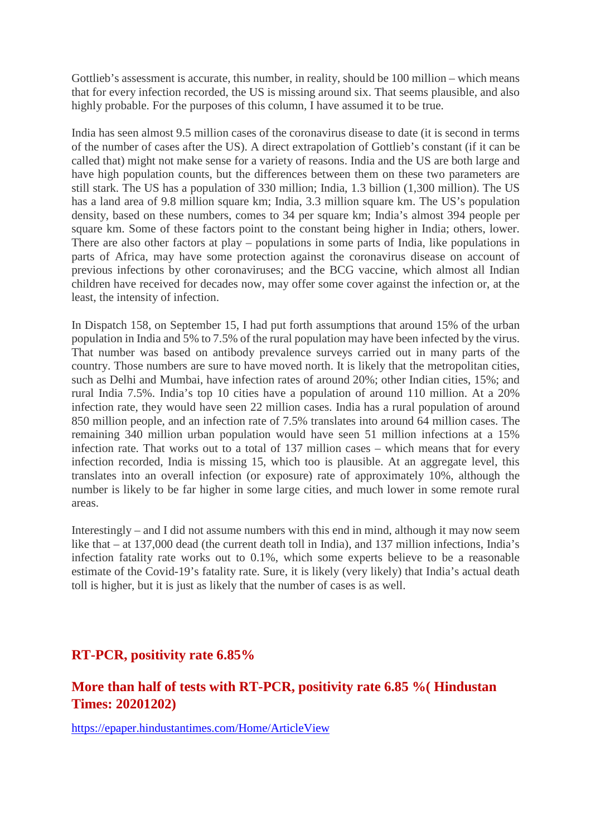Gottlieb's assessment is accurate, this number, in reality, should be 100 million – which means that for every infection recorded, the US is missing around six. That seems plausible, and also highly probable. For the purposes of this column, I have assumed it to be true.

India has seen almost 9.5 million cases of the coronavirus disease to date (it is second in terms of the number of cases after the US). A direct extrapolation of Gottlieb's constant (if it can be called that) might not make sense for a variety of reasons. India and the US are both large and have high population counts, but the differences between them on these two parameters are still stark. The US has a population of 330 million; India, 1.3 billion (1,300 million). The US has a land area of 9.8 million square km; India, 3.3 million square km. The US's population density, based on these numbers, comes to 34 per square km; India's almost 394 people per square km. Some of these factors point to the constant being higher in India; others, lower. There are also other factors at play – populations in some parts of India, like populations in parts of Africa, may have some protection against the coronavirus disease on account of previous infections by other coronaviruses; and the BCG vaccine, which almost all Indian children have received for decades now, may offer some cover against the infection or, at the least, the intensity of infection.

In Dispatch 158, on September 15, I had put forth assumptions that around 15% of the urban population in India and 5% to 7.5% of the rural population may have been infected by the virus. That number was based on antibody prevalence surveys carried out in many parts of the country. Those numbers are sure to have moved north. It is likely that the metropolitan cities, such as Delhi and Mumbai, have infection rates of around 20%; other Indian cities, 15%; and rural India 7.5%. India's top 10 cities have a population of around 110 million. At a 20% infection rate, they would have seen 22 million cases. India has a rural population of around 850 million people, and an infection rate of 7.5% translates into around 64 million cases. The remaining 340 million urban population would have seen 51 million infections at a 15% infection rate. That works out to a total of 137 million cases – which means that for every infection recorded, India is missing 15, which too is plausible. At an aggregate level, this translates into an overall infection (or exposure) rate of approximately 10%, although the number is likely to be far higher in some large cities, and much lower in some remote rural areas.

Interestingly – and I did not assume numbers with this end in mind, although it may now seem like that – at 137,000 dead (the current death toll in India), and 137 million infections, India's infection fatality rate works out to 0.1%, which some experts believe to be a reasonable estimate of the Covid-19's fatality rate. Sure, it is likely (very likely) that India's actual death toll is higher, but it is just as likely that the number of cases is as well.

#### **RT-PCR, positivity rate 6.85%**

### **More than half of tests with RT-PCR, positivity rate 6.85 %( Hindustan Times: 20201202)**

https://epaper.hindustantimes.com/Home/ArticleView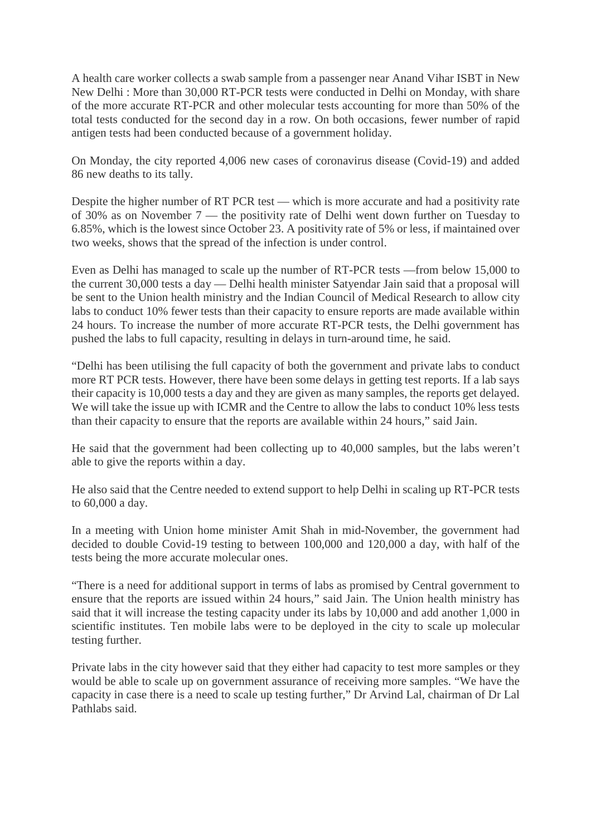A health care worker collects a swab sample from a passenger near Anand Vihar ISBT in New New Delhi : More than 30,000 RT-PCR tests were conducted in Delhi on Monday, with share of the more accurate RT-PCR and other molecular tests accounting for more than 50% of the total tests conducted for the second day in a row. On both occasions, fewer number of rapid antigen tests had been conducted because of a government holiday.

On Monday, the city reported 4,006 new cases of coronavirus disease (Covid-19) and added 86 new deaths to its tally.

Despite the higher number of RT PCR test — which is more accurate and had a positivity rate of 30% as on November 7 — the positivity rate of Delhi went down further on Tuesday to 6.85%, which is the lowest since October 23. A positivity rate of 5% or less, if maintained over two weeks, shows that the spread of the infection is under control.

Even as Delhi has managed to scale up the number of RT-PCR tests —from below 15,000 to the current 30,000 tests a day — Delhi health minister Satyendar Jain said that a proposal will be sent to the Union health ministry and the Indian Council of Medical Research to allow city labs to conduct 10% fewer tests than their capacity to ensure reports are made available within 24 hours. To increase the number of more accurate RT-PCR tests, the Delhi government has pushed the labs to full capacity, resulting in delays in turn-around time, he said.

"Delhi has been utilising the full capacity of both the government and private labs to conduct more RT PCR tests. However, there have been some delays in getting test reports. If a lab says their capacity is 10,000 tests a day and they are given as many samples, the reports get delayed. We will take the issue up with ICMR and the Centre to allow the labs to conduct 10% less tests than their capacity to ensure that the reports are available within 24 hours," said Jain.

He said that the government had been collecting up to 40,000 samples, but the labs weren't able to give the reports within a day.

He also said that the Centre needed to extend support to help Delhi in scaling up RT-PCR tests to 60,000 a day.

In a meeting with Union home minister Amit Shah in mid-November, the government had decided to double Covid-19 testing to between 100,000 and 120,000 a day, with half of the tests being the more accurate molecular ones.

"There is a need for additional support in terms of labs as promised by Central government to ensure that the reports are issued within 24 hours," said Jain. The Union health ministry has said that it will increase the testing capacity under its labs by 10,000 and add another 1,000 in scientific institutes. Ten mobile labs were to be deployed in the city to scale up molecular testing further.

Private labs in the city however said that they either had capacity to test more samples or they would be able to scale up on government assurance of receiving more samples. "We have the capacity in case there is a need to scale up testing further," Dr Arvind Lal, chairman of Dr Lal Pathlabs said.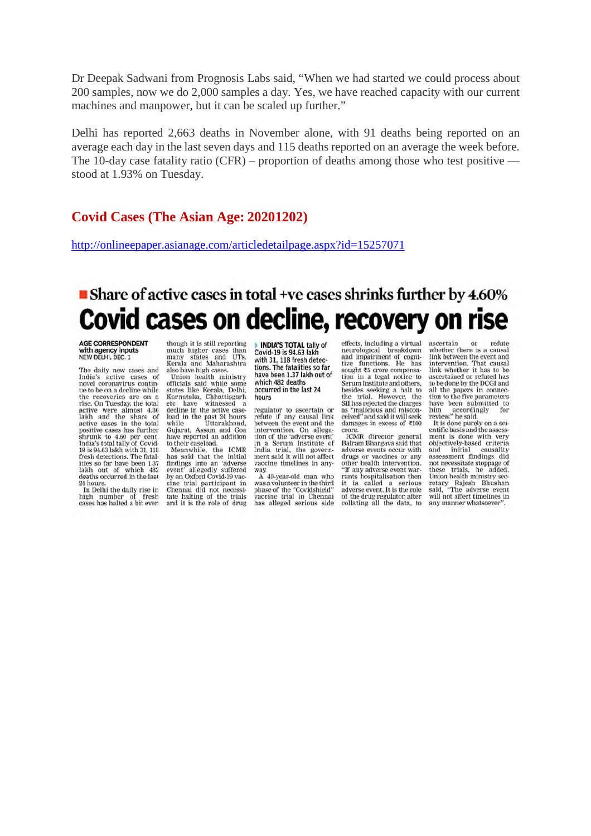Dr Deepak Sadwani from Prognosis Labs said, "When we had started we could process about 200 samples, now we do 2,000 samples a day. Yes, we have reached capacity with our current machines and manpower, but it can be scaled up further."

Delhi has reported 2,663 deaths in November alone, with 91 deaths being reported on an average each day in the last seven days and 115 deaths reported on an average the week before. The 10-day case fatality ratio (CFR) – proportion of deaths among those who test positive stood at 1.93% on Tuesday.

#### **Covid Cases (The Asian Age: 20201202)**

http://onlineepaper.asianage.com/articledetailpage.aspx?id=15257071

## ■ Share of active cases in total +ve cases shrinks further by 4.60% Covid cases on decline, recovery on rise

**AGE CORRESPONDENT** with agency inputs<br>NEW DELHI, DEC. 1

The daily new cases and<br>India's active cases of novel coronavirus continue to be on a decline while the recoveries are on a rise. On Tuesday, the total active were almost 4.36 lakh and the share of<br>active cases in the total positive cases has further shrunk to 4.60 per cent.<br>India's total tally of Covid-19 is 94.63 lakh with 31, 118 fresh detections. The fatalities so far have been 1.37 lakh out of which 482<br>deaths occurred in the last 24 hours

In Delhi the daily rise in high number of fresh<br>cases has halted a bit even though it is still reporting much higher cases than<br>many states and UTs.<br>Kerala and Maharashtra

Nel and wantafasitated<br>also have high cases.<br>Union health ministry<br>officials said while some<br>states like Kerala, Delhi, Karnataka, Chhattisgarh<br>etc have witnessed a<br>decline in the active caseload in the past 24 hours<br>while Uttarakhand, while Uttarakhand,<br>Gujarat, Assam and Goa

have reported an addition<br>to their caseload. to their caseboad.<br>
Meanwhile, the ICMR<br>
has said that the initial<br>
findings into an 'adverse<br>
event' allegedly suffered<br>
by an Oxford Covid-19 vaccine trial participant in Chennai did not necessi-<br>tate halting of the trials and it is the role of drug

**INDIA'S TOTAL tally of** Covid-19 is 94.63 lakh with 31, 118 fresh detections. The fatalities so far have been 1.37 lakh out of which 482 deaths occurred in the last 24 hours

regulator to ascertain or<br>refute if any causal link<br>between the event and the intervention. On allegamervention. On anegation of the 'adverse event'<br>in a Serum Institute of<br>India trial, the government said it will not affect<br>vaccine timelines in any-

way.<br>A 40-year-old man who was a volunteer in the third<br>phase of the "Covidshield"<br>vaccine trial in Chennai has alleged serious side

effects, including a virtual neurological breakdown<br>and impairment of cognitive functions. He has sought to crore compensa-<br>tion in a legal notice to Serum Institute and others, besides seeking a halt to<br>the trial. However, the SII has rejected the charges<br>as "malicious and misconceived" and said it will seek damages in excess of ₹100 crore

ICMR director general<br>Balram Bhargava said that adverse events occur with drugs or vaccines or any other health intervention. "If any adverse event war-<br>rants hospitalisation then it is called a serious adverse event. It is the role of the drug regulator, after collating all the data, to

ascertain or refute whether there is a causal link between the event and intervention. That causal<br>link whether it has to be<br>ascertained or refuted has to be done by the DCGI and<br>all the papers in connection to the five parameters have been submitted to<br>him accordingly for<br>review," he said.

It is done purely on a scientific basis and the assessment is done with very<br>objectively-based criteria and initial causality assessment findings did<br>not necessitate stoppage of these trials, he added.<br>Union health ministry sec added retary Rajesh Bhushan<br>said, "The adverse event will not affect timelines in any manner whatsoever"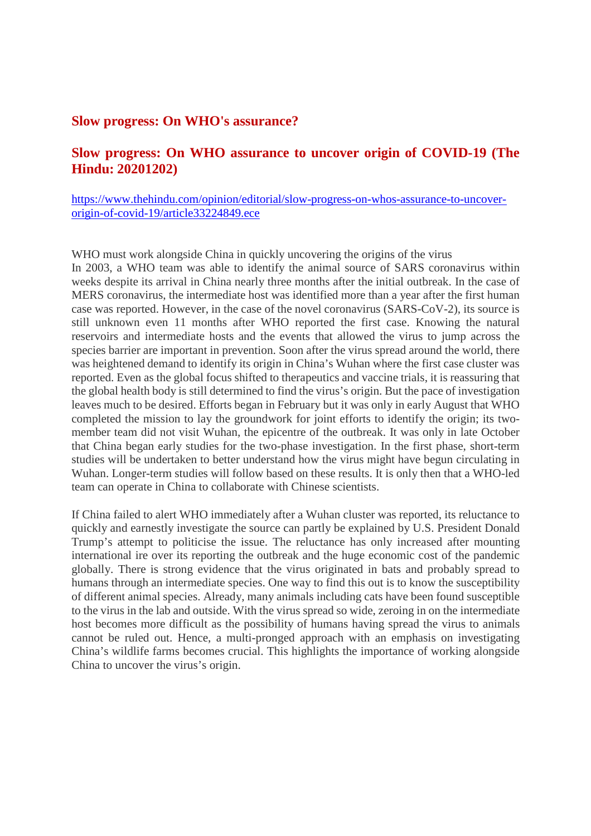#### **Slow progress: On WHO's assurance?**

#### **Slow progress: On WHO assurance to uncover origin of COVID-19 (The Hindu: 20201202)**

#### https://www.thehindu.com/opinion/editorial/slow-progress-on-whos-assurance-to-uncoverorigin-of-covid-19/article33224849.ece

WHO must work alongside China in quickly uncovering the origins of the virus In 2003, a WHO team was able to identify the animal source of SARS coronavirus within weeks despite its arrival in China nearly three months after the initial outbreak. In the case of MERS coronavirus, the intermediate host was identified more than a year after the first human case was reported. However, in the case of the novel coronavirus (SARS-CoV-2), its source is still unknown even 11 months after WHO reported the first case. Knowing the natural reservoirs and intermediate hosts and the events that allowed the virus to jump across the species barrier are important in prevention. Soon after the virus spread around the world, there was heightened demand to identify its origin in China's Wuhan where the first case cluster was reported. Even as the global focus shifted to therapeutics and vaccine trials, it is reassuring that the global health body is still determined to find the virus's origin. But the pace of investigation leaves much to be desired. Efforts began in February but it was only in early August that WHO completed the mission to lay the groundwork for joint efforts to identify the origin; its twomember team did not visit Wuhan, the epicentre of the outbreak. It was only in late October that China began early studies for the two-phase investigation. In the first phase, short-term studies will be undertaken to better understand how the virus might have begun circulating in Wuhan. Longer-term studies will follow based on these results. It is only then that a WHO-led team can operate in China to collaborate with Chinese scientists.

If China failed to alert WHO immediately after a Wuhan cluster was reported, its reluctance to quickly and earnestly investigate the source can partly be explained by U.S. President Donald Trump's attempt to politicise the issue. The reluctance has only increased after mounting international ire over its reporting the outbreak and the huge economic cost of the pandemic globally. There is strong evidence that the virus originated in bats and probably spread to humans through an intermediate species. One way to find this out is to know the susceptibility of different animal species. Already, many animals including cats have been found susceptible to the virus in the lab and outside. With the virus spread so wide, zeroing in on the intermediate host becomes more difficult as the possibility of humans having spread the virus to animals cannot be ruled out. Hence, a multi-pronged approach with an emphasis on investigating China's wildlife farms becomes crucial. This highlights the importance of working alongside China to uncover the virus's origin.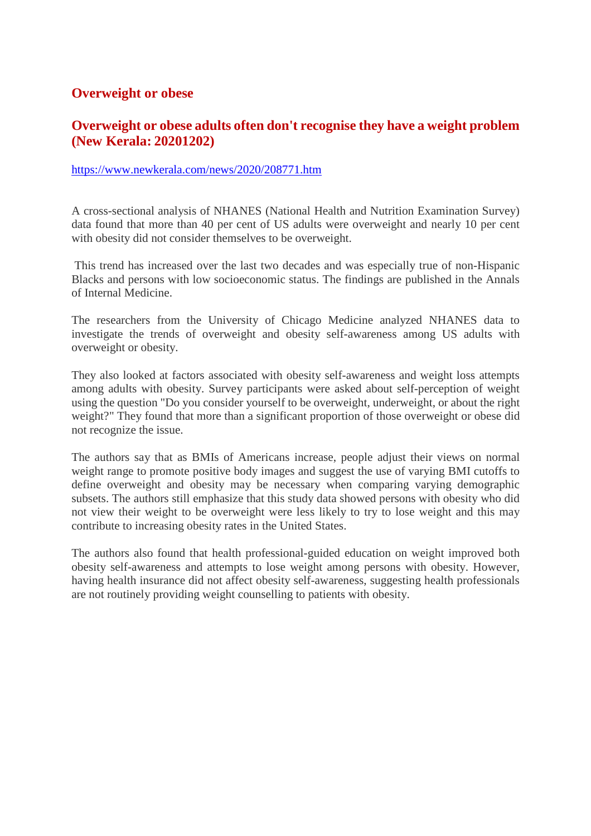#### **Overweight or obese**

#### **Overweight or obese adults often don't recognise they have a weight problem (New Kerala: 20201202)**

#### https://www.newkerala.com/news/2020/208771.htm

A cross-sectional analysis of NHANES (National Health and Nutrition Examination Survey) data found that more than 40 per cent of US adults were overweight and nearly 10 per cent with obesity did not consider themselves to be overweight.

This trend has increased over the last two decades and was especially true of non-Hispanic Blacks and persons with low socioeconomic status. The findings are published in the Annals of Internal Medicine.

The researchers from the University of Chicago Medicine analyzed NHANES data to investigate the trends of overweight and obesity self-awareness among US adults with overweight or obesity.

They also looked at factors associated with obesity self-awareness and weight loss attempts among adults with obesity. Survey participants were asked about self-perception of weight using the question "Do you consider yourself to be overweight, underweight, or about the right weight?" They found that more than a significant proportion of those overweight or obese did not recognize the issue.

The authors say that as BMIs of Americans increase, people adjust their views on normal weight range to promote positive body images and suggest the use of varying BMI cutoffs to define overweight and obesity may be necessary when comparing varying demographic subsets. The authors still emphasize that this study data showed persons with obesity who did not view their weight to be overweight were less likely to try to lose weight and this may contribute to increasing obesity rates in the United States.

The authors also found that health professional-guided education on weight improved both obesity self-awareness and attempts to lose weight among persons with obesity. However, having health insurance did not affect obesity self-awareness, suggesting health professionals are not routinely providing weight counselling to patients with obesity.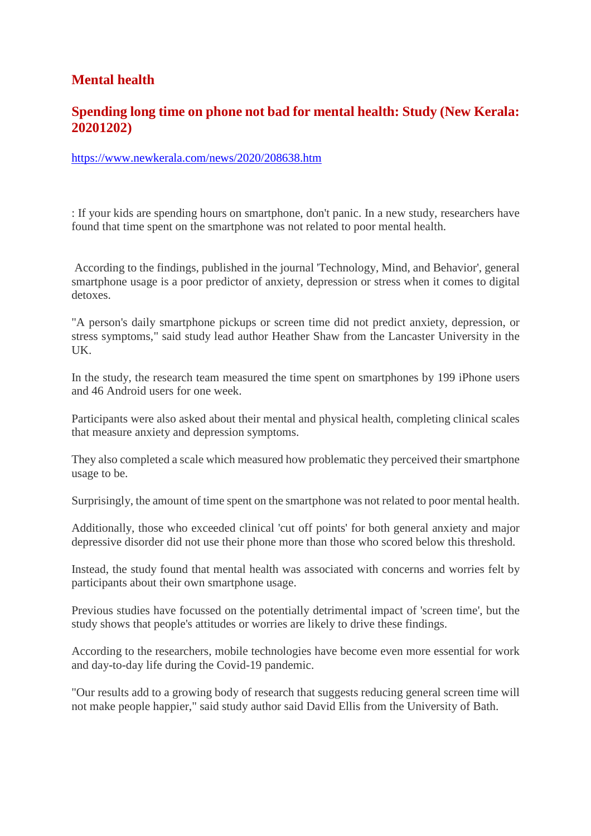## **Mental health**

#### **Spending long time on phone not bad for mental health: Study (New Kerala: 20201202)**

https://www.newkerala.com/news/2020/208638.htm

: If your kids are spending hours on smartphone, don't panic. In a new study, researchers have found that time spent on the smartphone was not related to poor mental health.

According to the findings, published in the journal 'Technology, Mind, and Behavior', general smartphone usage is a poor predictor of anxiety, depression or stress when it comes to digital detoxes.

"A person's daily smartphone pickups or screen time did not predict anxiety, depression, or stress symptoms," said study lead author Heather Shaw from the Lancaster University in the UK.

In the study, the research team measured the time spent on smartphones by 199 iPhone users and 46 Android users for one week.

Participants were also asked about their mental and physical health, completing clinical scales that measure anxiety and depression symptoms.

They also completed a scale which measured how problematic they perceived their smartphone usage to be.

Surprisingly, the amount of time spent on the smartphone was not related to poor mental health.

Additionally, those who exceeded clinical 'cut off points' for both general anxiety and major depressive disorder did not use their phone more than those who scored below this threshold.

Instead, the study found that mental health was associated with concerns and worries felt by participants about their own smartphone usage.

Previous studies have focussed on the potentially detrimental impact of 'screen time', but the study shows that people's attitudes or worries are likely to drive these findings.

According to the researchers, mobile technologies have become even more essential for work and day-to-day life during the Covid-19 pandemic.

"Our results add to a growing body of research that suggests reducing general screen time will not make people happier," said study author said David Ellis from the University of Bath.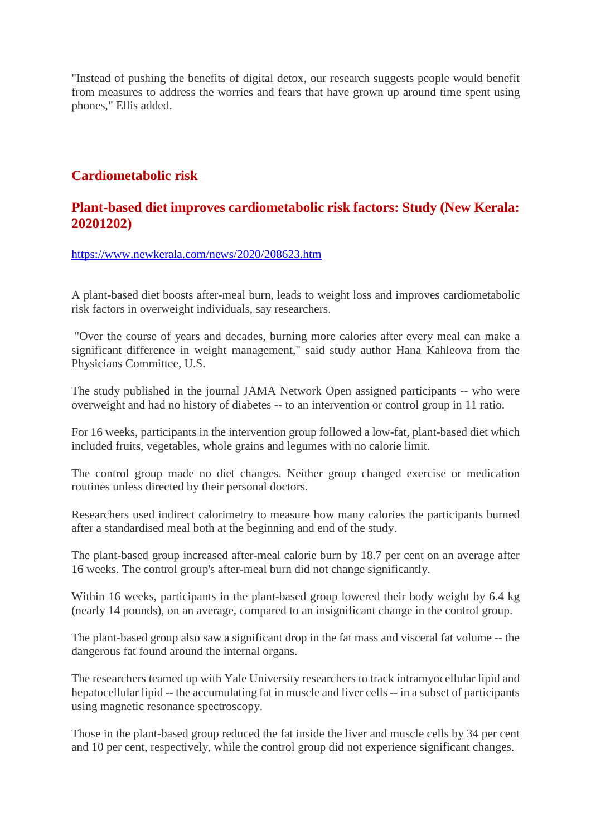"Instead of pushing the benefits of digital detox, our research suggests people would benefit from measures to address the worries and fears that have grown up around time spent using phones," Ellis added.

#### **Cardiometabolic risk**

#### **Plant-based diet improves cardiometabolic risk factors: Study (New Kerala: 20201202)**

https://www.newkerala.com/news/2020/208623.htm

A plant-based diet boosts after-meal burn, leads to weight loss and improves cardiometabolic risk factors in overweight individuals, say researchers.

"Over the course of years and decades, burning more calories after every meal can make a significant difference in weight management," said study author Hana Kahleova from the Physicians Committee, U.S.

The study published in the journal JAMA Network Open assigned participants -- who were overweight and had no history of diabetes -- to an intervention or control group in 11 ratio.

For 16 weeks, participants in the intervention group followed a low-fat, plant-based diet which included fruits, vegetables, whole grains and legumes with no calorie limit.

The control group made no diet changes. Neither group changed exercise or medication routines unless directed by their personal doctors.

Researchers used indirect calorimetry to measure how many calories the participants burned after a standardised meal both at the beginning and end of the study.

The plant-based group increased after-meal calorie burn by 18.7 per cent on an average after 16 weeks. The control group's after-meal burn did not change significantly.

Within 16 weeks, participants in the plant-based group lowered their body weight by 6.4 kg (nearly 14 pounds), on an average, compared to an insignificant change in the control group.

The plant-based group also saw a significant drop in the fat mass and visceral fat volume -- the dangerous fat found around the internal organs.

The researchers teamed up with Yale University researchers to track intramyocellular lipid and hepatocellular lipid -- the accumulating fat in muscle and liver cells -- in a subset of participants using magnetic resonance spectroscopy.

Those in the plant-based group reduced the fat inside the liver and muscle cells by 34 per cent and 10 per cent, respectively, while the control group did not experience significant changes.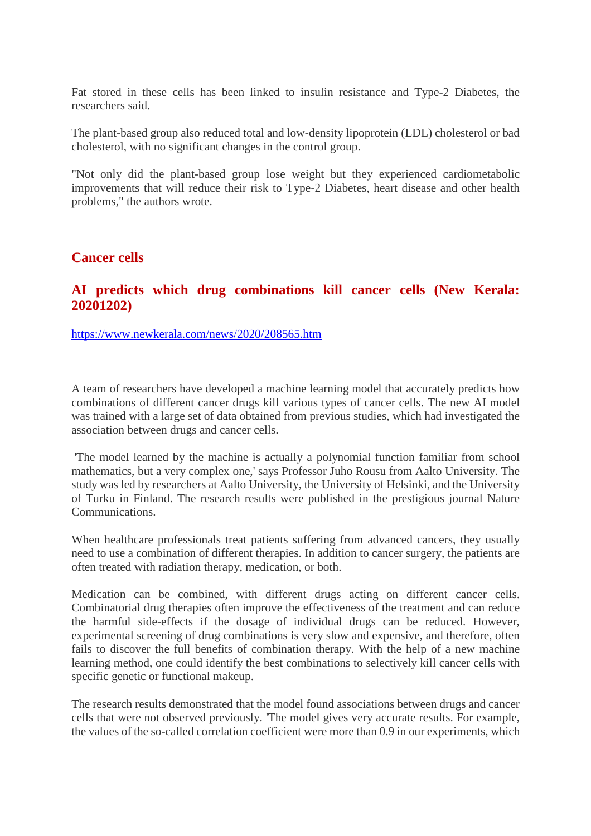Fat stored in these cells has been linked to insulin resistance and Type-2 Diabetes, the researchers said.

The plant-based group also reduced total and low-density lipoprotein (LDL) cholesterol or bad cholesterol, with no significant changes in the control group.

"Not only did the plant-based group lose weight but they experienced cardiometabolic improvements that will reduce their risk to Type-2 Diabetes, heart disease and other health problems," the authors wrote.

#### **Cancer cells**

#### **AI predicts which drug combinations kill cancer cells (New Kerala: 20201202)**

https://www.newkerala.com/news/2020/208565.htm

A team of researchers have developed a machine learning model that accurately predicts how combinations of different cancer drugs kill various types of cancer cells. The new AI model was trained with a large set of data obtained from previous studies, which had investigated the association between drugs and cancer cells.

'The model learned by the machine is actually a polynomial function familiar from school mathematics, but a very complex one,' says Professor Juho Rousu from Aalto University. The study was led by researchers at Aalto University, the University of Helsinki, and the University of Turku in Finland. The research results were published in the prestigious journal Nature Communications.

When healthcare professionals treat patients suffering from advanced cancers, they usually need to use a combination of different therapies. In addition to cancer surgery, the patients are often treated with radiation therapy, medication, or both.

Medication can be combined, with different drugs acting on different cancer cells. Combinatorial drug therapies often improve the effectiveness of the treatment and can reduce the harmful side-effects if the dosage of individual drugs can be reduced. However, experimental screening of drug combinations is very slow and expensive, and therefore, often fails to discover the full benefits of combination therapy. With the help of a new machine learning method, one could identify the best combinations to selectively kill cancer cells with specific genetic or functional makeup.

The research results demonstrated that the model found associations between drugs and cancer cells that were not observed previously. 'The model gives very accurate results. For example, the values of the so-called correlation coefficient were more than 0.9 in our experiments, which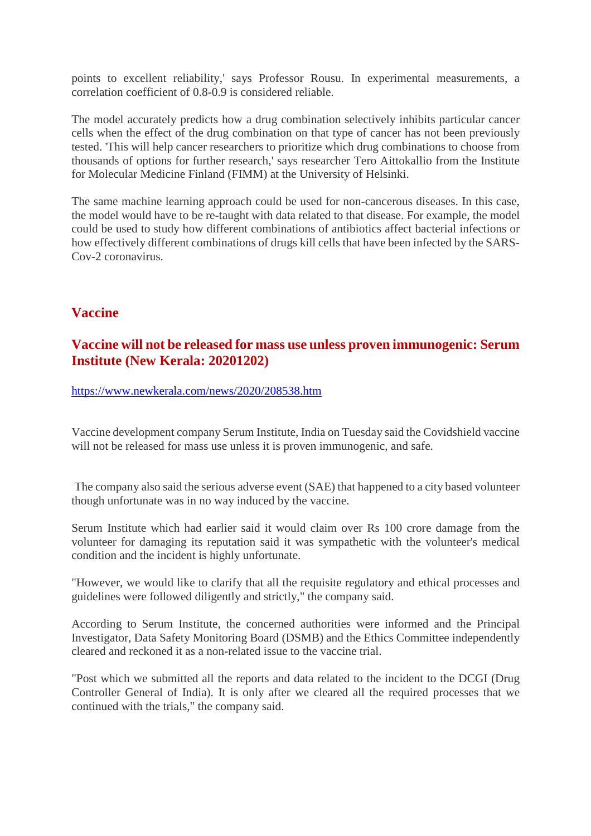points to excellent reliability,' says Professor Rousu. In experimental measurements, a correlation coefficient of 0.8-0.9 is considered reliable.

The model accurately predicts how a drug combination selectively inhibits particular cancer cells when the effect of the drug combination on that type of cancer has not been previously tested. 'This will help cancer researchers to prioritize which drug combinations to choose from thousands of options for further research,' says researcher Tero Aittokallio from the Institute for Molecular Medicine Finland (FIMM) at the University of Helsinki.

The same machine learning approach could be used for non-cancerous diseases. In this case, the model would have to be re-taught with data related to that disease. For example, the model could be used to study how different combinations of antibiotics affect bacterial infections or how effectively different combinations of drugs kill cells that have been infected by the SARS-Cov-2 coronavirus.

### **Vaccine**

#### **Vaccine will not be released for mass use unless proven immunogenic: Serum Institute (New Kerala: 20201202)**

https://www.newkerala.com/news/2020/208538.htm

Vaccine development company Serum Institute, India on Tuesday said the Covidshield vaccine will not be released for mass use unless it is proven immunogenic, and safe.

The company also said the serious adverse event (SAE) that happened to a city based volunteer though unfortunate was in no way induced by the vaccine.

Serum Institute which had earlier said it would claim over Rs 100 crore damage from the volunteer for damaging its reputation said it was sympathetic with the volunteer's medical condition and the incident is highly unfortunate.

"However, we would like to clarify that all the requisite regulatory and ethical processes and guidelines were followed diligently and strictly," the company said.

According to Serum Institute, the concerned authorities were informed and the Principal Investigator, Data Safety Monitoring Board (DSMB) and the Ethics Committee independently cleared and reckoned it as a non-related issue to the vaccine trial.

"Post which we submitted all the reports and data related to the incident to the DCGI (Drug Controller General of India). It is only after we cleared all the required processes that we continued with the trials," the company said.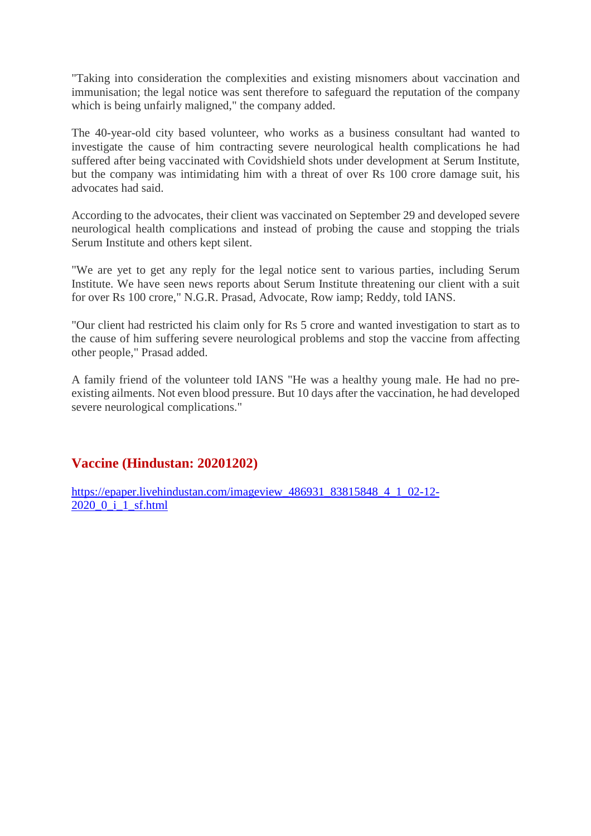"Taking into consideration the complexities and existing misnomers about vaccination and immunisation; the legal notice was sent therefore to safeguard the reputation of the company which is being unfairly maligned," the company added.

The 40-year-old city based volunteer, who works as a business consultant had wanted to investigate the cause of him contracting severe neurological health complications he had suffered after being vaccinated with Covidshield shots under development at Serum Institute, but the company was intimidating him with a threat of over Rs 100 crore damage suit, his advocates had said.

According to the advocates, their client was vaccinated on September 29 and developed severe neurological health complications and instead of probing the cause and stopping the trials Serum Institute and others kept silent.

"We are yet to get any reply for the legal notice sent to various parties, including Serum Institute. We have seen news reports about Serum Institute threatening our client with a suit for over Rs 100 crore," N.G.R. Prasad, Advocate, Row iamp; Reddy, told IANS.

"Our client had restricted his claim only for Rs 5 crore and wanted investigation to start as to the cause of him suffering severe neurological problems and stop the vaccine from affecting other people," Prasad added.

A family friend of the volunteer told IANS "He was a healthy young male. He had no preexisting ailments. Not even blood pressure. But 10 days after the vaccination, he had developed severe neurological complications."

#### **Vaccine (Hindustan: 20201202)**

https://epaper.livehindustan.com/imageview\_486931\_83815848\_4\_1\_02-12- 2020\_0\_i\_1\_sf.html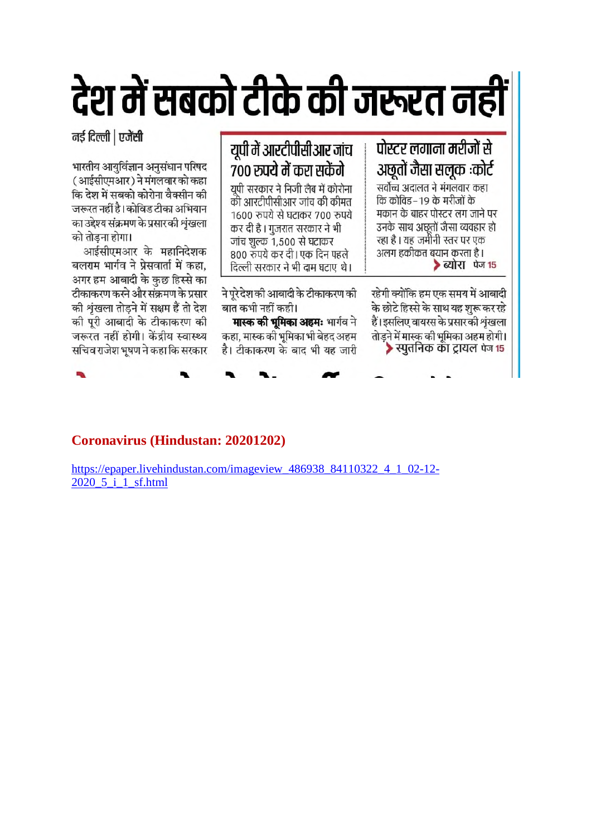# देश में सबको टीके की जरूरत नही

नई दिल्ली | एजेंसी

भारतीय आयुर्विज्ञान अनुसंधान परिषद (आईसीएमआर) ने मंगलवार को कहा कि देश में सबको कोरोना वैक्सीन की जरूरत नहीं है। कोविड टीका अभियान का उद्देश्य संक्रमण के प्रसार की शृंखला को तोडना होगा।

आईसीएमआर के महानिदेशक बलराम भार्गव ने प्रेसवार्ता में कहा, अगर हम आबादी के कुछ हिस्से का टीकाकरण करने और संक्रमण के प्रसार की श्रृंखला तोड़ने में सक्षम हैं तो देश की पूरी आबादी के टीकाकरण की जरूरत नहीं होगी। केंद्रीय स्वास्थ्य सचिव राजेश भूषण ने कहा कि सरकार

## यूपी में आरटीपीसीआर जांच ७०० रुपये में करा सकेंगे

पोस्टर लगाना मरीजों से

अछूतों जैसा सलूक :कोर्ट

सर्वोच्च अदालत ने मंगलवार कहा

मकान के बाहर पोस्टर लग जाने पर

उनके साथ अछूतों जैसा व्यवहार हो

रहेगी क्योंकि हम एक समय में आबादी के छोटे हिस्से के साथ यह शुरू कर रहे

हैं। इसलिए वायरस के प्रसार की श्रृंखला

तोडने में मास्क की भूमिका अहम होगी। ▶स्पुतनिक का ट्रायल पेज १५

> ब्योरा पेज 15

रहा है । यह जमीनी स्तर पर एक

अलग हकीकत बयान करता है।

कि कोविड – 19 के मरीजों के

युपी सरकार ने निजी लैब में कोरोना को आरटीपीसीआर जांच की कीमत 1600 रुपये से घटाकर 700 रुपये कर दी है। गुजरात सरकार ने भी जांच शुल्क 1,500 से घटाकर 800 रुपये कर दी। एक दिन पहले दिल्ली सरकार ने भी दाम घटाए थे।

ने पूरे देश की आबादी के टीकाकरण की बात कभी नहीं कही।

मास्क की भूमिका अहमः भार्गव ने कहा, मास्क की भूमिका भी बेहद अहम है। टीकाकरण के बाद भी यह जारी

**Coronavirus (Hindustan: 20201202)** 

https://epaper.livehindustan.com/imageview\_486938\_84110322\_4\_1\_02-12-2020 5 i 1 sf.html